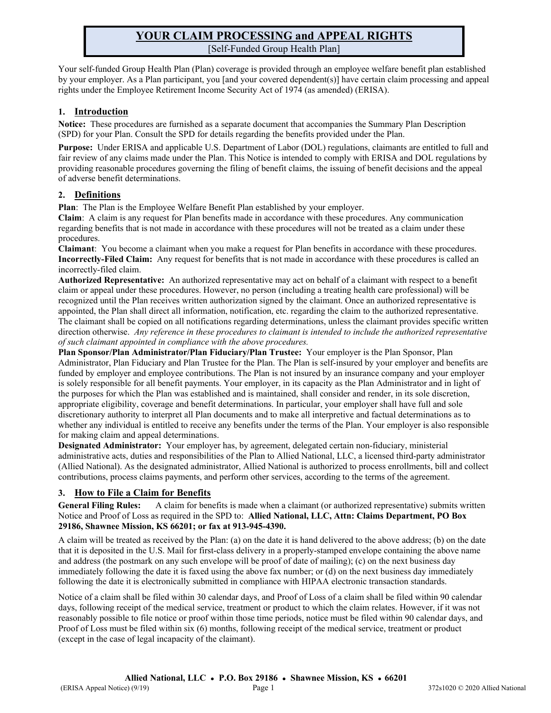# **YOUR CLAIM PROCESSING and APPEAL RIGHTS** [Self-Funded Group Health Plan]

Your self-funded Group Health Plan (Plan) coverage is provided through an employee welfare benefit plan established by your employer. As a Plan participant, you [and your covered dependent(s)] have certain claim processing and appeal rights under the Employee Retirement Income Security Act of 1974 (as amended) (ERISA).

### **1. Introduction**

**Notice:** These procedures are furnished as a separate document that accompanies the Summary Plan Description (SPD) for your Plan. Consult the SPD for details regarding the benefits provided under the Plan.

**Purpose:** Under ERISA and applicable U.S. Department of Labor (DOL) regulations, claimants are entitled to full and fair review of any claims made under the Plan. This Notice is intended to comply with ERISA and DOL regulations by providing reasonable procedures governing the filing of benefit claims, the issuing of benefit decisions and the appeal of adverse benefit determinations.

### **2. Definitions**

**Plan**: The Plan is the Employee Welfare Benefit Plan established by your employer.

**Claim**: A claim is any request for Plan benefits made in accordance with these procedures. Any communication regarding benefits that is not made in accordance with these procedures will not be treated as a claim under these procedures.

**Claimant**: You become a claimant when you make a request for Plan benefits in accordance with these procedures. **Incorrectly-Filed Claim:** Any request for benefits that is not made in accordance with these procedures is called an incorrectly-filed claim.

**Authorized Representative:** An authorized representative may act on behalf of a claimant with respect to a benefit claim or appeal under these procedures. However, no person (including a treating health care professional) will be recognized until the Plan receives written authorization signed by the claimant. Once an authorized representative is appointed, the Plan shall direct all information, notification, etc. regarding the claim to the authorized representative. The claimant shall be copied on all notifications regarding determinations, unless the claimant provides specific written direction otherwise. *Any reference in these procedures to claimant is intended to include the authorized representative of such claimant appointed in compliance with the above procedures.*

**Plan Sponsor/Plan Administrator/Plan Fiduciary/Plan Trustee:** Your employer is the Plan Sponsor, Plan Administrator, Plan Fiduciary and Plan Trustee for the Plan. The Plan is self-insured by your employer and benefits are funded by employer and employee contributions. The Plan is not insured by an insurance company and your employer is solely responsible for all benefit payments. Your employer, in its capacity as the Plan Administrator and in light of the purposes for which the Plan was established and is maintained, shall consider and render, in its sole discretion, appropriate eligibility, coverage and benefit determinations. In particular, your employer shall have full and sole discretionary authority to interpret all Plan documents and to make all interpretive and factual determinations as to whether any individual is entitled to receive any benefits under the terms of the Plan. Your employer is also responsible for making claim and appeal determinations.

**Designated Administrator:** Your employer has, by agreement, delegated certain non-fiduciary, ministerial administrative acts, duties and responsibilities of the Plan to Allied National, LLC, a licensed third-party administrator (Allied National). As the designated administrator, Allied National is authorized to process enrollments, bill and collect contributions, process claims payments, and perform other services, according to the terms of the agreement.

# **3. How to File a Claim for Benefits**

**General Filing Rules:** A claim for benefits is made when a claimant (or authorized representative) submits written Notice and Proof of Loss as required in the SPD to: **Allied National, LLC, Attn: Claims Department, PO Box 29186, Shawnee Mission, KS 66201; or fax at 913-945-4390.**

A claim will be treated as received by the Plan: (a) on the date it is hand delivered to the above address; (b) on the date that it is deposited in the U.S. Mail for first-class delivery in a properly-stamped envelope containing the above name and address (the postmark on any such envelope will be proof of date of mailing); (c) on the next business day immediately following the date it is faxed using the above fax number; or (d) on the next business day immediately following the date it is electronically submitted in compliance with HIPAA electronic transaction standards.

Notice of a claim shall be filed within 30 calendar days, and Proof of Loss of a claim shall be filed within 90 calendar days, following receipt of the medical service, treatment or product to which the claim relates. However, if it was not reasonably possible to file notice or proof within those time periods, notice must be filed within 90 calendar days, and Proof of Loss must be filed within six (6) months, following receipt of the medical service, treatment or product (except in the case of legal incapacity of the claimant).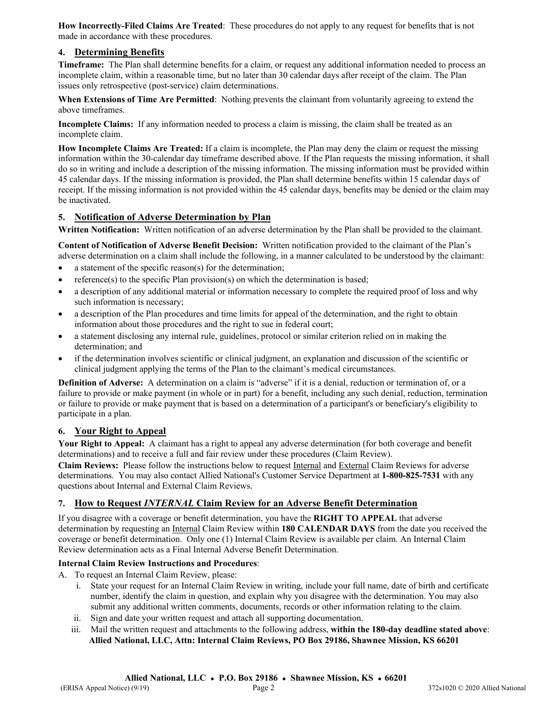**How Incorrectly-Filed Claims Are Treated**: These procedures do not apply to any request for benefits that is not made in accordance with these procedures.

#### **4. Determining Benefits**

**Timeframe:** The Plan shall determine benefits for a claim, or request any additional information needed to process an incomplete claim, within a reasonable time, but no later than 30 calendar days after receipt of the claim. The Plan issues only retrospective (post-service) claim determinations.

**When Extensions of Time Are Permitted**: Nothing prevents the claimant from voluntarily agreeing to extend the above timeframes.

**Incomplete Claims:** If any information needed to process a claim is missing, the claim shall be treated as an incomplete claim.

**How Incomplete Claims Are Treated:** If a claim is incomplete, the Plan may deny the claim or request the missing information within the 30-calendar day timeframe described above. If the Plan requests the missing information, it shall do so in writing and include a description of the missing information. The missing information must be provided within 45 calendar days. If the missing information is provided, the Plan shall determine benefits within 15 calendar days of receipt. If the missing information is not provided within the 45 calendar days, benefits may be denied or the claim may be inactivated.

### **5. Notification of Adverse Determination by Plan**

**Written Notification:** Written notification of an adverse determination by the Plan shall be provided to the claimant.

**Content of Notification of Adverse Benefit Decision:** Written notification provided to the claimant of the Plan's adverse determination on a claim shall include the following, in a manner calculated to be understood by the claimant:

- a statement of the specific reason(s) for the determination;
- reference(s) to the specific Plan provision(s) on which the determination is based;
- a description of any additional material or information necessary to complete the required proof of loss and why such information is necessary;
- a description of the Plan procedures and time limits for appeal of the determination, and the right to obtain information about those procedures and the right to sue in federal court;
- a statement disclosing any internal rule, guidelines, protocol or similar criterion relied on in making the determination; and
- if the determination involves scientific or clinical judgment, an explanation and discussion of the scientific or clinical judgment applying the terms of the Plan to the claimant's medical circumstances.

**Definition of Adverse:** A determination on a claim is "adverse" if it is a denial, reduction or termination of, or a failure to provide or make payment (in whole or in part) for a benefit, including any such denial, reduction, termination or failure to provide or make payment that is based on a determination of a participant's or beneficiary's eligibility to participate in a plan.

### **6. Your Right to Appeal**

**Your Right to Appeal:** A claimant has a right to appeal any adverse determination (for both coverage and benefit determinations) and to receive a full and fair review under these procedures (Claim Review).

**Claim Reviews:** Please follow the instructions below to request Internal and External Claim Reviews for adverse determinations. You may also contact Allied National's Customer Service Department at **1-800-825-7531** with any questions about Internal and External Claim Reviews.

### **7. How to Request** *INTERNAL* **Claim Review for an Adverse Benefit Determination**

If you disagree with a coverage or benefit determination, you have the **RIGHT TO APPEAL** that adverse determination by requesting an Internal Claim Review within **180 CALENDAR DAYS** from the date you received the coverage or benefit determination. Only one (1) Internal Claim Review is available per claim. An Internal Claim Review determination acts as a Final Internal Adverse Benefit Determination.

#### **Internal Claim Review Instructions and Procedures**:

- A. To request an Internal Claim Review, please:
	- i. State your request for an Internal Claim Review in writing, include your full name, date of birth and certificate number, identify the claim in question, and explain why you disagree with the determination. You may also submit any additional written comments, documents, records or other information relating to the claim.
	- ii. Sign and date your written request and attach all supporting documentation.
	- iii. Mail the written request and attachments to the following address, **within the 180-day deadline stated above**: **Allied National, LLC, Attn: Internal Claim Reviews, PO Box 29186, Shawnee Mission, KS 66201**